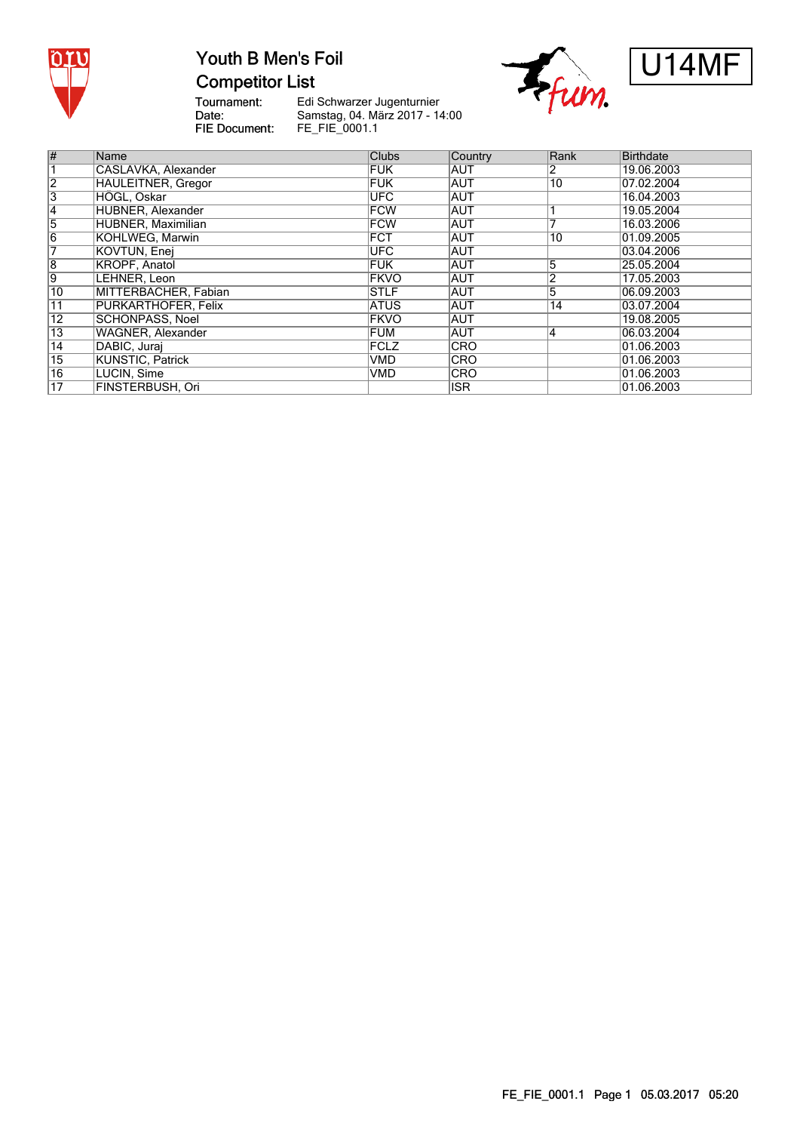

### Youth B Men's Foil **Competitor List**





Tournament:<br>Date: FIE Document:

Edi Schwarzer Jugenturnier Samstag, 04. März 2017 - 14:00 FE\_FIE\_0001.1

| #               | Name                       | <b>Clubs</b> | Country    | Rank           | Birthdate  |
|-----------------|----------------------------|--------------|------------|----------------|------------|
|                 | CASLAVKA, Alexander        | <b>FUK</b>   | <b>AUT</b> | 2              | 19.06.2003 |
| $\overline{2}$  | <b>HAULEITNER, Gregor</b>  | FUK          | <b>AUT</b> | 10             | 07.02.2004 |
| $\overline{3}$  | HÖGL, Oskar                | <b>UFC</b>   | <b>AUT</b> |                | 16.04.2003 |
| $\overline{4}$  | HUBNER, Alexander          | <b>FCW</b>   | <b>AUT</b> |                | 19.05.2004 |
| $\overline{5}$  | HUBNER, Maximilian         | <b>FCW</b>   | <b>AUT</b> |                | 16.03.2006 |
| $\overline{6}$  | KOHLWEG, Marwin            | <b>FCT</b>   | <b>AUT</b> | 10             | 01.09.2005 |
| 7               | KOVTUN, Enei               | <b>UFC</b>   | <b>AUT</b> |                | 03.04.2006 |
| $\overline{8}$  | KROPF, Anatol              | <b>FUK</b>   | <b>AUT</b> | 5              | 25.05.2004 |
| $\overline{9}$  | LEHNER, Leon               | <b>FKVO</b>  | <b>AUT</b> | 2              | 17.05.2003 |
| 10              | MITTERBACHER, Fabian       | <b>STLF</b>  | <b>AUT</b> | $\overline{5}$ | 06.09.2003 |
| 11              | <b>PURKARTHOFER, Felix</b> | <b>ATUS</b>  | <b>AUT</b> | 14             | 03.07.2004 |
| $\overline{12}$ | SCHÖNPASS, Noel            | <b>FKVO</b>  | <b>AUT</b> |                | 19.08.2005 |
| $\overline{13}$ | <b>WAGNER, Alexander</b>   | FUM          | <b>AUT</b> | 4              | 06.03.2004 |
| $\overline{14}$ | DABIC, Jurai               | FCLZ         | <b>CRO</b> |                | 01.06.2003 |
| $\overline{15}$ | KUNSTIC, Patrick           | <b>VMD</b>   | <b>CRO</b> |                | 01.06.2003 |
| $\overline{16}$ | LUCIN, Sime                | <b>VMD</b>   | <b>CRO</b> |                | 01.06.2003 |
| 17              | FINSTERBUSH. Ori           |              | <b>ISR</b> |                | 01.06.2003 |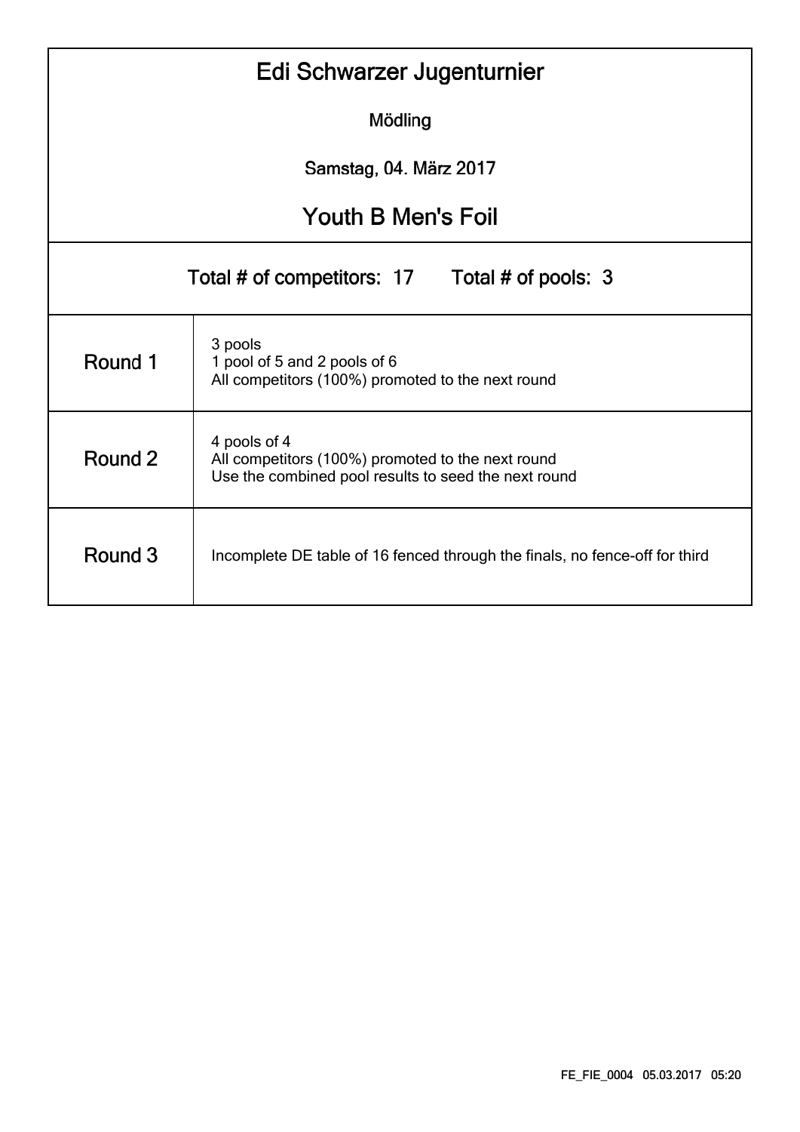|                           | Edi Schwarzer Jugenturnier                                                                                                |  |  |  |  |  |  |  |  |  |  |
|---------------------------|---------------------------------------------------------------------------------------------------------------------------|--|--|--|--|--|--|--|--|--|--|
|                           | Mödling                                                                                                                   |  |  |  |  |  |  |  |  |  |  |
| Samstag, 04. März 2017    |                                                                                                                           |  |  |  |  |  |  |  |  |  |  |
| <b>Youth B Men's Foil</b> |                                                                                                                           |  |  |  |  |  |  |  |  |  |  |
|                           | Total # of competitors: 17 Total # of pools: 3                                                                            |  |  |  |  |  |  |  |  |  |  |
| Round 1                   | 3 pools<br>1 pool of 5 and 2 pools of 6<br>All competitors (100%) promoted to the next round                              |  |  |  |  |  |  |  |  |  |  |
| Round 2                   | 4 pools of 4<br>All competitors (100%) promoted to the next round<br>Use the combined pool results to seed the next round |  |  |  |  |  |  |  |  |  |  |
| Round 3                   | Incomplete DE table of 16 fenced through the finals, no fence-off for third                                               |  |  |  |  |  |  |  |  |  |  |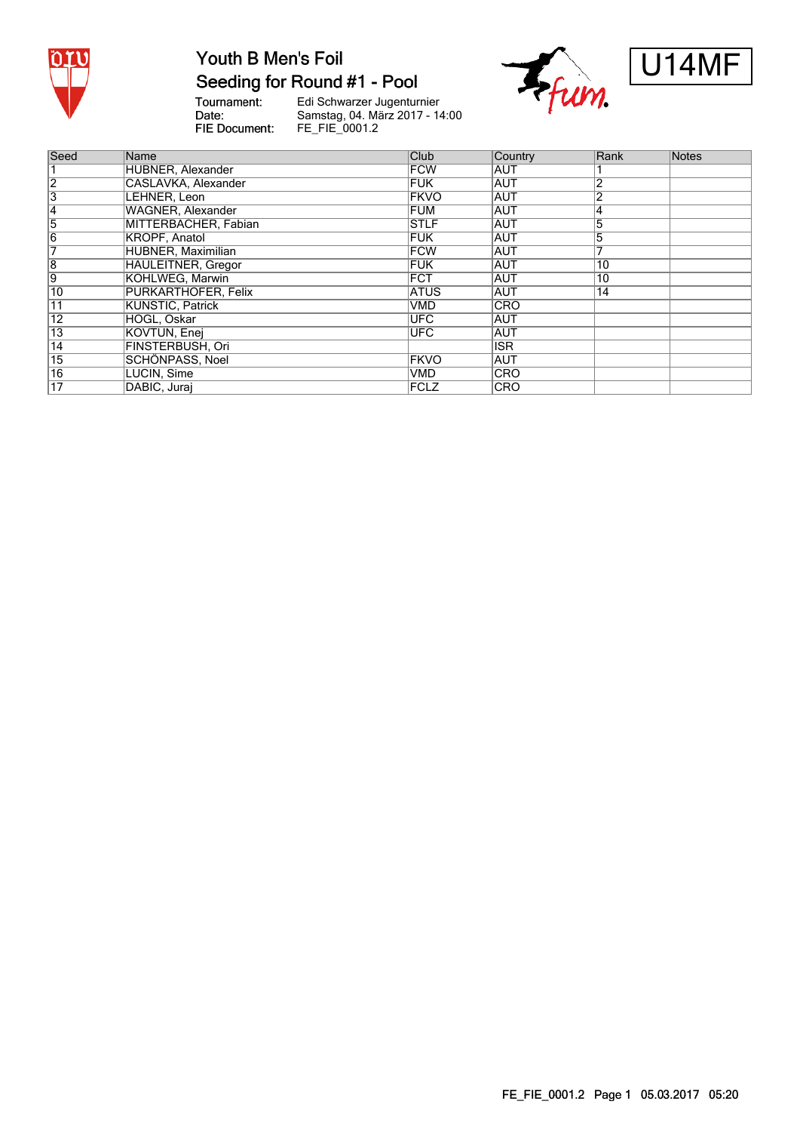

#### Seeding for Round #1 - Pool

Tournament:<br>Date: FIE Document:

Edi Schwarzer Jugenturnier<br>Samstag, 04. März 2017 - 14:00<br>FE\_FIE\_0001.2





| Seed            | Name                      | Club         | Country    | Rank           | Notes |
|-----------------|---------------------------|--------------|------------|----------------|-------|
|                 | HUBNER, Alexander         | <b>FCW</b>   | <b>AUT</b> |                |       |
| $\overline{2}$  | CASLAVKA, Alexander       | <b>FUK</b>   | <b>AUT</b> | 2              |       |
| $\overline{3}$  | LEHNER, Leon              | <b>FKVO</b>  | <b>AUT</b> | $\overline{2}$ |       |
| 4               | <b>WAGNER, Alexander</b>  | <b>FUM</b>   | <b>AUT</b> | 4              |       |
| 5               | MITTERBACHER, Fabian      | <b>STLF</b>  | <b>AUT</b> | 5              |       |
| $\overline{6}$  | <b>KROPF, Anatol</b>      | <b>FUK</b>   | AUT        | 5              |       |
| 7               | HUBNER, Maximilian        | <b>FCW</b>   | <b>AUT</b> |                |       |
| $\overline{8}$  | <b>HAULEITNER, Gregor</b> | <b>FUK</b>   | <b>AUT</b> | 10             |       |
| 9               | KOHLWEG, Marwin           | <b>FCT</b>   | <b>AUT</b> | 10             |       |
| 10              | PURKARTHOFER, Felix       | <b>ATUS</b>  | <b>AUT</b> | 14             |       |
| $\overline{11}$ | <b>KUNSTIC, Patrick</b>   | VMD          | <b>CRO</b> |                |       |
| $\overline{12}$ | HÖGL, Oskar               | <b>UFC</b>   | <b>AUT</b> |                |       |
| 13              | KOVTUN, Enej              | <b>UFC</b>   | <b>AUT</b> |                |       |
| $\overline{14}$ | <b>FINSTERBUSH, Ori</b>   |              | ISR.       |                |       |
| $\overline{15}$ | SCHÖNPASS, Noel           | <b>FKVO</b>  | <b>AUT</b> |                |       |
| $\overline{16}$ | LUCIN, Sime               | VMD          | <b>CRO</b> |                |       |
| 17              | DABIC, Jurai              | <b>IFCLZ</b> | <b>CRO</b> |                |       |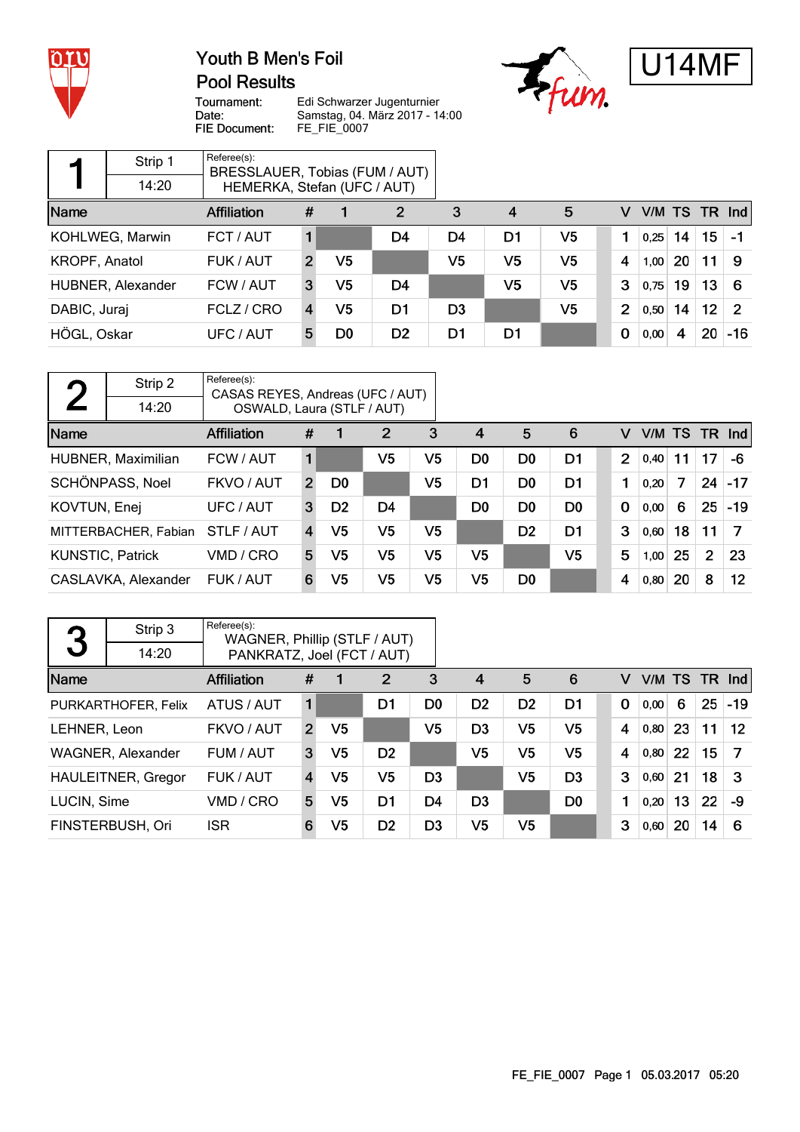

**Pool Results** 





Tournament: Date: FIE Document:

Edi Schwarzer Jugenturnier Edi Schwarzer Sugentamier<br>Samstag, 04. März 2017 - 14:00<br>FE\_FIE\_0007

|               | Strip 1           | Referee(s):<br>BRESSLAUER, Tobias (FUM / AUT) |               |    |                |                |    |    |                |      |           |                 |               |
|---------------|-------------------|-----------------------------------------------|---------------|----|----------------|----------------|----|----|----------------|------|-----------|-----------------|---------------|
|               | 14:20             | HEMERKA, Stefan (UFC / AUT)                   |               |    |                |                |    |    |                |      |           |                 |               |
| Name          |                   | <b>Affiliation</b>                            | #             |    | 2              | 3              | 4  | 5  | v              |      | V/M TS TR |                 | Ind           |
|               | KOHLWEG, Marwin   | FCT / AUT                                     |               |    | D4             | D4             | D1 | V5 |                | 0,25 | 14        | 15              | $-1$          |
| KROPF, Anatol |                   | FUK / AUT                                     | $\mathcal{P}$ | V5 |                | V5             | V5 | V5 | 4              | 1,00 | 20        | 11              | 9             |
|               | HUBNER, Alexander | FCW / AUT                                     | 3             | V5 | D <sub>4</sub> |                | V5 | V5 | 3              | 0,75 | 19        | 13              | -6            |
| DABIC, Juraj  |                   | FCLZ / CRO                                    | 4             | V5 | D1             | D <sub>3</sub> |    | V5 | $\overline{2}$ | 0,50 | 14        | 12 <sup>°</sup> | $\mathcal{P}$ |
| HÖGL, Oskar   |                   | UFC / AUT                                     | 5             | D0 | D <sub>2</sub> | D1             | D1 |    | 0              | 0,00 | 4         | 20              | $-16$         |

| $\bigcap$               | Strip 2              | Referee(s):<br>CASAS REYES, Andreas (UFC / AUT) |                |                |                |                |                |                |                |                |        |    |                |          |
|-------------------------|----------------------|-------------------------------------------------|----------------|----------------|----------------|----------------|----------------|----------------|----------------|----------------|--------|----|----------------|----------|
|                         | 14:20                | OSWALD, Laura (STLF / AUT)                      |                |                |                |                |                |                |                |                |        |    |                |          |
| Name                    |                      | Affiliation                                     | #              |                | $\overline{2}$ | 3              | $\overline{4}$ | 5              | 6              | v              | V/M TS |    |                | $TR$ Ind |
|                         | HUBNER, Maximilian   | FCW / AUT                                       | 1              |                | V5             | V5             | D <sub>0</sub> | D <sub>0</sub> | D1             | $\overline{2}$ | 0,40   | 11 | 17             | -6       |
|                         | SCHÖNPASS, Noel      | FKVO / AUT                                      | $\overline{2}$ | D <sub>0</sub> |                | V <sub>5</sub> | D1             | D <sub>0</sub> | D <sub>1</sub> |                | 0,20   | 7  | 24             | $-17$    |
| KOVTUN, Enej            |                      | UFC / AUT                                       | 3              | D <sub>2</sub> | D4             |                | D <sub>0</sub> | D <sub>0</sub> | D <sub>0</sub> | $\mathbf 0$    | 0,00   | 6  | 25             | $-19$    |
|                         | MITTERBACHER, Fabian | STLF / AUT                                      | 4              | V5             | V <sub>5</sub> | V <sub>5</sub> |                | D <sub>2</sub> | D <sub>1</sub> | 3              | 0,60   | 18 | 11             | -7       |
| <b>KUNSTIC, Patrick</b> |                      | VMD / CRO                                       | 5              | V5             | V <sub>5</sub> | V <sub>5</sub> | V <sub>5</sub> |                | V <sub>5</sub> | 5              | 1,00   | 25 | $\overline{2}$ | 23       |
|                         | CASLAVKA, Alexander  | FUK / AUT                                       | 6              | V5             | V <sub>5</sub> | V5             | V <sub>5</sub> | D <sub>0</sub> |                | 4              | 0,80   | 20 | 8              | 12       |

| 3            | Strip 3                   | Referee(s):<br>WAGNER, Phillip (STLF / AUT) |                |                |                |                |                |                |                |             |      |    |    |               |
|--------------|---------------------------|---------------------------------------------|----------------|----------------|----------------|----------------|----------------|----------------|----------------|-------------|------|----|----|---------------|
|              | 14:20                     | PANKRATZ, Joel (FCT / AUT)                  |                |                |                |                |                |                |                |             |      |    |    |               |
| Name         |                           | <b>Affiliation</b>                          | #              |                | 2              | 3              | $\overline{4}$ | 5              | 6              | v           |      |    |    | V/M TS TR Ind |
|              | PURKARTHOFER, Felix       | ATUS / AUT                                  |                |                | D1             | D <sub>0</sub> | D <sub>2</sub> | D <sub>2</sub> | D <sub>1</sub> | $\mathbf 0$ | 0,00 | 6  | 25 | $-19$         |
| LEHNER, Leon |                           | FKVO / AUT                                  | $\overline{2}$ | V <sub>5</sub> |                | V <sub>5</sub> | D <sub>3</sub> | V <sub>5</sub> | V <sub>5</sub> | 4           | 0,80 | 23 | 11 | 12            |
|              | WAGNER, Alexander         | FUM / AUT                                   | 3              | V5             | D <sub>2</sub> |                | V <sub>5</sub> | V <sub>5</sub> | V <sub>5</sub> | 4           | 0,80 | 22 | 15 | 7             |
|              | <b>HAULEITNER, Gregor</b> | FUK / AUT                                   | 4              | V5             | V5             | D <sub>3</sub> |                | V <sub>5</sub> | D <sub>3</sub> | 3           | 0,60 | 21 | 18 | -3            |
| LUCIN, Sime  |                           | VMD / CRO                                   | 5              | V5             | D1             | D4             | D <sub>3</sub> |                | D <sub>0</sub> | 1           | 0,20 | 13 | 22 | -9            |
|              | FINSTERBUSH, Ori          | <b>ISR</b>                                  | 6              | V5             | D <sub>2</sub> | D <sub>3</sub> | V <sub>5</sub> | V <sub>5</sub> |                | 3           | 0,60 | 20 | 14 | -6            |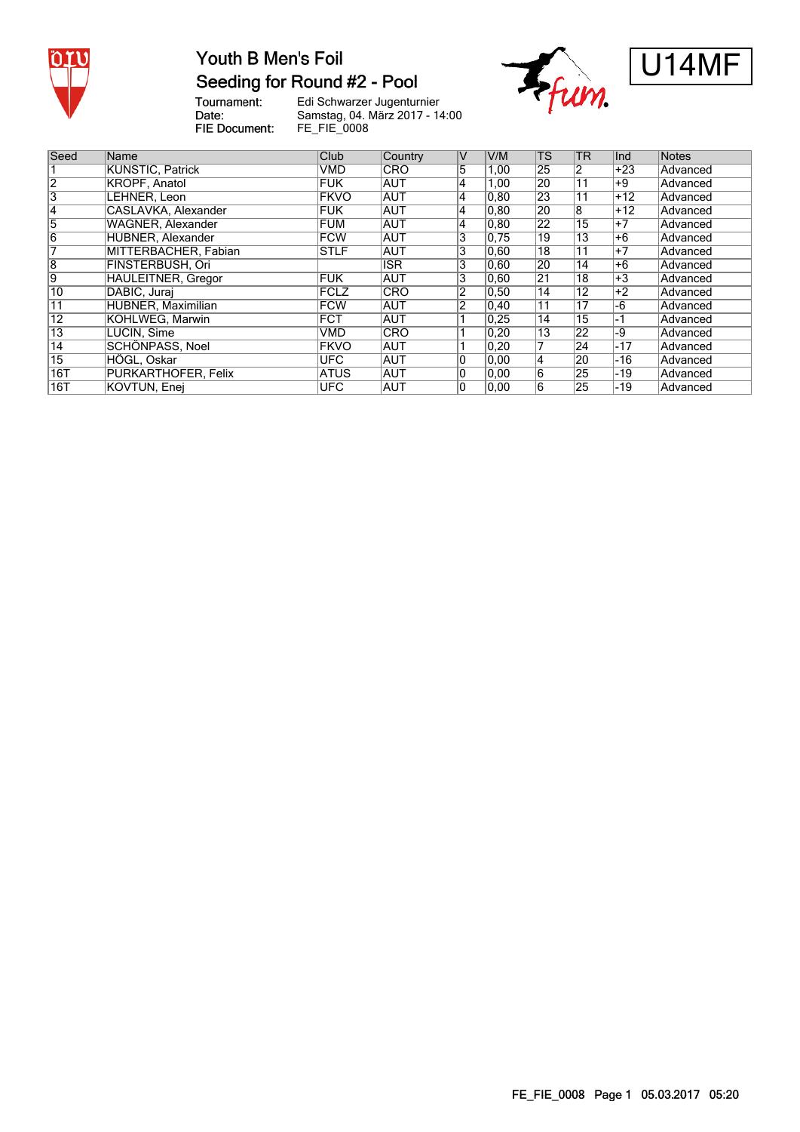

#### Youth B Men's Foil Seeding for Round #2 - Pool

Tournament:<br>Date: FIE Document:

Edi Schwarzer Jugenturnier Samstag, 04. März 2017 - 14:00 FE\_FIE\_0008





| Seed            | Name                      | Club        | Country    | V              | V/M   | <b>TS</b>       | <b>TR</b>       | Ind   | Notes    |
|-----------------|---------------------------|-------------|------------|----------------|-------|-----------------|-----------------|-------|----------|
|                 | <b>KUNSTIC, Patrick</b>   | <b>VMD</b>  | <b>CRO</b> | 5              | 1,00  | 25              | 2               | $+23$ | Advanced |
| $\overline{2}$  | <b>KROPF, Anatol</b>      | <b>FUK</b>  | <b>AUT</b> | 4              | 1,00  | 20              | $\overline{11}$ | $+9$  | Advanced |
| '3              | LEHNER, Leon              | <b>FKVO</b> | <b>AUT</b> | 4              | 0, 80 | 23              | 11              | $+12$ | Advanced |
| 14              | CASLAVKA, Alexander       | <b>FUK</b>  | <b>AUT</b> | 4              | 0, 80 | 20              | $\overline{8}$  | $+12$ | Advanced |
| 5               | WAGNER, Alexander         | FUM         | <b>AUT</b> | 4              | 0.80  | 22              | $\overline{15}$ | $+7$  | Advanced |
| $\overline{6}$  | HUBNER, Alexander         | FCW         | <b>AUT</b> | 3              | 0.75  | 19              | 13              | $+6$  | Advanced |
|                 | MITTERBACHER, Fabian      | <b>STLF</b> | <b>AUT</b> | 3              | 0.60  | 18              | 11              | $+7$  | Advanced |
| $\overline{8}$  | FINSTERBUSH, Ori          |             | <b>ISR</b> | 3              | 0.60  | 20              | 14              | $+6$  | Advanced |
| 9               | <b>HAULEITNER, Gregor</b> | <b>FUK</b>  | <b>AUT</b> | $\overline{3}$ | 0,60  | $\overline{21}$ | 18              | $+3$  | Advanced |
| 10              | DABIC, Jurai              | <b>FCLZ</b> | <b>CRO</b> | 2              | 0,50  | 14              | 12              | $+2$  | Advanced |
| $\overline{11}$ | <b>HUBNER, Maximilian</b> | FCW         | AUT        | 2              | 0, 40 | 11              | 17              | -6    | Advanced |
| $\overline{12}$ | KOHLWEG, Marwin           | <b>FCT</b>  | IAUT       |                | 0.25  | 14              | 15              | -1    | Advanced |
| $\overline{13}$ | LUCIN, Sime               | <b>VMD</b>  | <b>CRO</b> |                | 0,20  | 13              | $\overline{22}$ | $-9$  | Advanced |
| $\overline{14}$ | SCHÖNPASS, Noel           | <b>FKVO</b> | <b>AUT</b> |                | 0,20  | 7               | 24              | $-17$ | Advanced |
| $\overline{15}$ | HÖGL, Oskar               | <b>UFC</b>  | <b>AUT</b> | 0              | 0.00  | 4               | 20              | $-16$ | Advanced |
| 16T             | PURKARTHOFER, Felix       | <b>ATUS</b> | <b>AUT</b> | 10             | 0.00  | 6               | 25              | -19   | Advanced |
| 16T             | KOVTUN, Enei              | <b>UFC</b>  | <b>AUT</b> | 10             | 0.00  | 6               | 25              | -19   | Advanced |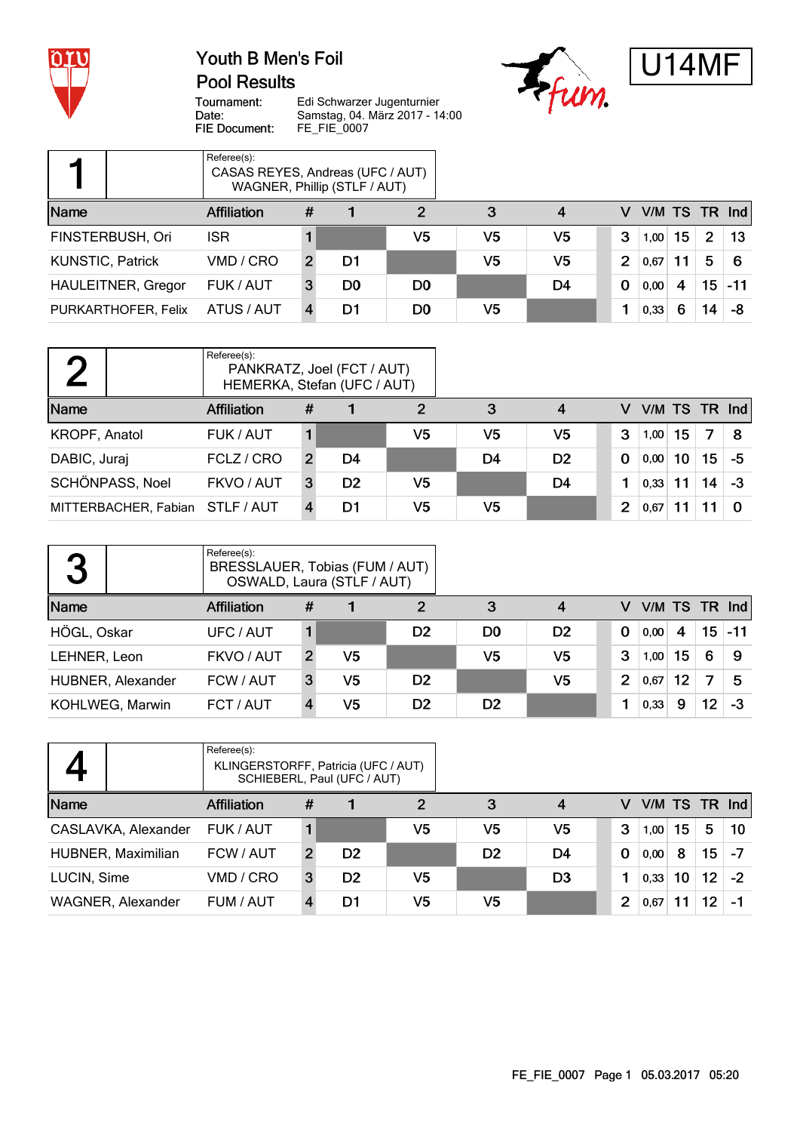

#### **Pool Results**





Tournament: Date: FIE Document:

Edi Schwarzer Jugenturnier Edi Schwarzer Sugentamier<br>Samstag, 04. März 2017 - 14:00<br>FE\_FIE\_0007

|                         |                           | Referee(s):<br>CASAS REYES, Andreas (UFC / AUT) |               | WAGNER, Phillip (STLF / AUT) |                |    |    |                |      |    |                       |                 |
|-------------------------|---------------------------|-------------------------------------------------|---------------|------------------------------|----------------|----|----|----------------|------|----|-----------------------|-----------------|
| Name                    |                           | <b>Affiliation</b>                              | #             |                              | 2              | 3  | 4  | v              |      |    |                       | $V/M$ TS TR Ind |
|                         | FINSTERBUSH, Ori          | <b>ISR</b>                                      |               |                              | V5             | V5 | V5 | 3              | 1,00 | 15 | $\mathbf{2}^{\prime}$ | -13             |
| <b>KUNSTIC, Patrick</b> |                           | VMD / CRO                                       | $\mathcal{P}$ | D1                           |                | V5 | V5 | $\overline{2}$ | 0,67 |    | 5                     | 6               |
|                         | <b>HAULEITNER, Gregor</b> | FUK / AUT                                       | 3             | D <sub>0</sub>               | D <sub>0</sub> |    | D4 | $\bf{0}$       | 0,00 | 4  | 15                    | $-11$           |
|                         | PURKARTHOFER, Felix       | ATUS / AUT                                      |               | D1                           | D0             | V5 |    |                | 0,33 | 6  | 14                    | -8              |

|                                 | Referee(s):<br>PANKRATZ, Joel (FCT / AUT)<br>HEMERKA, Stefan (UFC / AUT) |                |                |    |     |                |          |   |                 |    |    |    |
|---------------------------------|--------------------------------------------------------------------------|----------------|----------------|----|-----|----------------|----------|---|-----------------|----|----|----|
| Name                            | <b>Affiliation</b>                                                       | #              |                | 2  | 3   | 4              |          | v | V/M TS TR $Ind$ |    |    |    |
| KROPF, Anatol                   | FUK / AUT                                                                |                |                | V5 | V5  | V5             | 3        |   | 1,00            | 15 | 7  | -8 |
| DABIC, Juraj                    | FCLZ / CRO                                                               | $\overline{2}$ | D4             |    | D4  | D <sub>2</sub> | $\bf{0}$ |   | 0,00            | 10 | 15 | -5 |
| SCHÖNPASS, Noel                 | FKVO / AUT                                                               | 3              | D <sub>2</sub> | V5 |     | D4             |          |   | 0,33            | 11 | 14 | -3 |
| MITTERBACHER, Fabian STLF / AUT |                                                                          |                | D1             | V5 | V5. |                | 2        |   | 0.67            |    |    |    |

| 3            |                   | Referee(s):<br>BRESSLAUER, Tobias (FUM / AUT)<br>OSWALD, Laura (STLF / AUT) |   |    |                |                |                |                |                 |    |                 |           |
|--------------|-------------------|-----------------------------------------------------------------------------|---|----|----------------|----------------|----------------|----------------|-----------------|----|-----------------|-----------|
| Name         |                   | Affiliation                                                                 | # |    | 2              | 3              | 4              | V              | V/M TS TR $Ind$ |    |                 |           |
| HÖGL, Oskar  |                   | UFC / AUT                                                                   |   |    | D <sub>2</sub> | D <sub>0</sub> | D <sub>2</sub> | $\Omega$       | 0,00            | 4  |                 | $15 - 11$ |
| LEHNER, Leon |                   | FKVO / AUT                                                                  | 2 | V5 |                | V5             | V <sub>5</sub> | 3              | 1,00            | 15 | 6               | 9         |
|              | HUBNER, Alexander | FCW / AUT                                                                   | 3 | V5 | D <sub>2</sub> |                | V <sub>5</sub> | $\overline{2}$ | 0.67            | 12 | 7               | 5         |
|              | KOHLWEG, Marwin   | FCT / AUT                                                                   |   | V5 | D <sub>2</sub> | D <sub>2</sub> |                |                | 0,33            | 9  | 12 <sub>2</sub> | -3        |

|             |                     | Referee(s):<br>KLINGERSTORFF, Patricia (UFC / AUT) |                | SCHIEBERL, Paul (UFC / AUT) |                |                |                |   |      |    |                 |                  |
|-------------|---------------------|----------------------------------------------------|----------------|-----------------------------|----------------|----------------|----------------|---|------|----|-----------------|------------------|
| Name        |                     | <b>Affiliation</b>                                 | #              |                             | $\overline{2}$ | 3              | 4              | v |      |    |                 | $VM$ TS TR $Ind$ |
|             | CASLAVKA, Alexander | FUK / AUT                                          |                |                             | V <sub>5</sub> | V5             | V5             | 3 | 1,00 | 15 | 5               | 10               |
|             | HUBNER, Maximilian  | FCW / AUT                                          | $\overline{2}$ | D <sub>2</sub>              |                | D <sub>2</sub> | D4             | 0 | 0,00 | 8  | 15              | -7               |
| LUCIN, Sime |                     | VMD / CRO                                          | 3              | D <sub>2</sub>              | V <sub>5</sub> |                | D <sub>3</sub> |   | 0,33 | 10 | 12 <sup>°</sup> | $-2$             |
|             | WAGNER, Alexander   | FUM / AUT                                          |                | D1                          | V5             | V5             |                | 2 | 0,67 |    | 12 <sup>2</sup> |                  |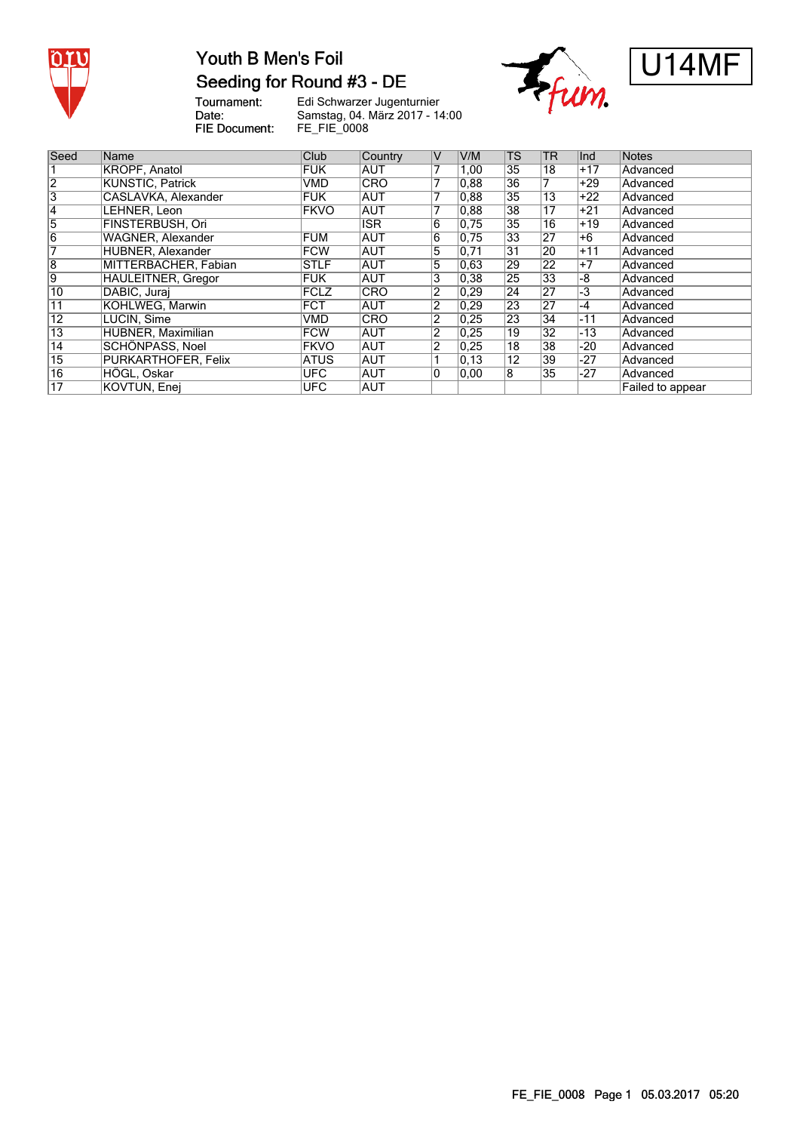

### Youth B Men's Foil Seeding for Round #3 - DE

Tournament:<br>Date: FIE Document:

Edi Schwarzer Jugenturnier Samstag, 04. März 2017 - 14:00 FE\_FIE\_0008





| Seed            | Name                   | Club        | Country    | ٧              | V/M  | <b>TS</b>         | <b>TR</b>       | Ind   | Notes            |
|-----------------|------------------------|-------------|------------|----------------|------|-------------------|-----------------|-------|------------------|
|                 | KROPF, Anatol          | <b>FUK</b>  | IAUT       | 7              | 1,00 | 35                | 18              | +17   | Advanced         |
|                 | KUNSTIC. Patrick       | VMD         | <b>CRO</b> | 7              | 0,88 | $\overline{36}$   |                 | $+29$ | Advanced         |
| 3               | CASLAVKA, Alexander    | <b>FUK</b>  | IAUT       | 7              | 0,88 | 35                | 13              | $+22$ | Advanced         |
| 4               | LEHNER. Leon           | <b>FKVO</b> | <b>AUT</b> |                | 0.88 | 38                | 17              | +21   | Advanced         |
| 5               | FINSTERBUSH. Ori       |             | <b>ISR</b> | 6              | 0.75 | 35                | 16              | $+19$ | Advanced         |
| 6               | WAGNER, Alexander      | <b>FUM</b>  | <b>AUT</b> | 6              | 0.75 | 33                | 27              | +6    | Advanced         |
|                 | HUBNER, Alexander      | <b>FCW</b>  | <b>AUT</b> | 5              | 0,71 | $\overline{31}$   | 20              | $+11$ | Advanced         |
| 8               | MITTERBACHER, Fabian   | <b>STLF</b> | <b>AUT</b> | 5              | 0,63 | 29                | $2\overline{2}$ | $+7$  | Advanced         |
| 9               | HAULEITNER, Gregor     | <b>FUK</b>  | <b>AUT</b> | 3              | 0,38 | 25                | 33              | -8    | Advanced         |
| 10              | DABIC, Jurai           | <b>FCLZ</b> | <b>CRO</b> | 2              | 0.29 | 24                | $\overline{27}$ | -3    | Advanced         |
| 11              | <b>KOHLWEG, Marwin</b> | <b>FCT</b>  | <b>AUT</b> | 2              | 0,29 | 23                | 27              | -4    | Advanced         |
| $\overline{12}$ | LUCIN, Sime            | VMD         | <b>CRO</b> | $\overline{2}$ | 0,25 | 23                | $\overline{34}$ | $-11$ | Advanced         |
| $\overline{13}$ | HUBNER, Maximilian     | <b>FCW</b>  | <b>AUT</b> | $\overline{2}$ | 0,25 | 19                | 32              | $-13$ | Advanced         |
| 14              | SCHÖNPASS, Noel        | <b>FKVO</b> | <b>AUT</b> | 2              | 0.25 | 18                | 38              | -20   | Advanced         |
| $\overline{15}$ | PURKARTHOFER, Felix    | <b>ATUS</b> | <b>AUT</b> |                | 0,13 | $12 \overline{ }$ | 39              | -27   | Advanced         |
| 16              | HÖGL, Oskar            | <b>UFC</b>  | <b>AUT</b> | 0              | 0.00 | 8                 | 35              | -27   | Advanced         |
| $\overline{17}$ | KOVTUN, Enei           | <b>UFC</b>  | AUT        |                |      |                   |                 |       | Failed to appear |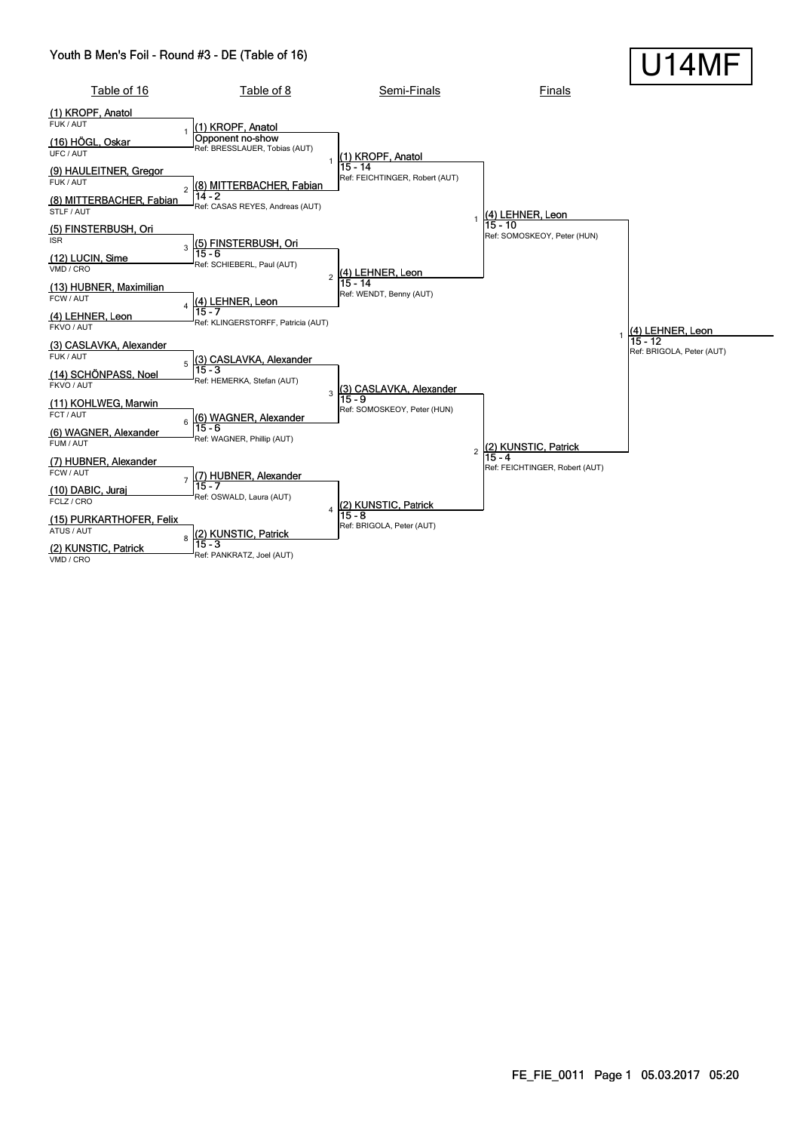#### Youth B Men's Foil - Round #3 - DE (Table of 16)

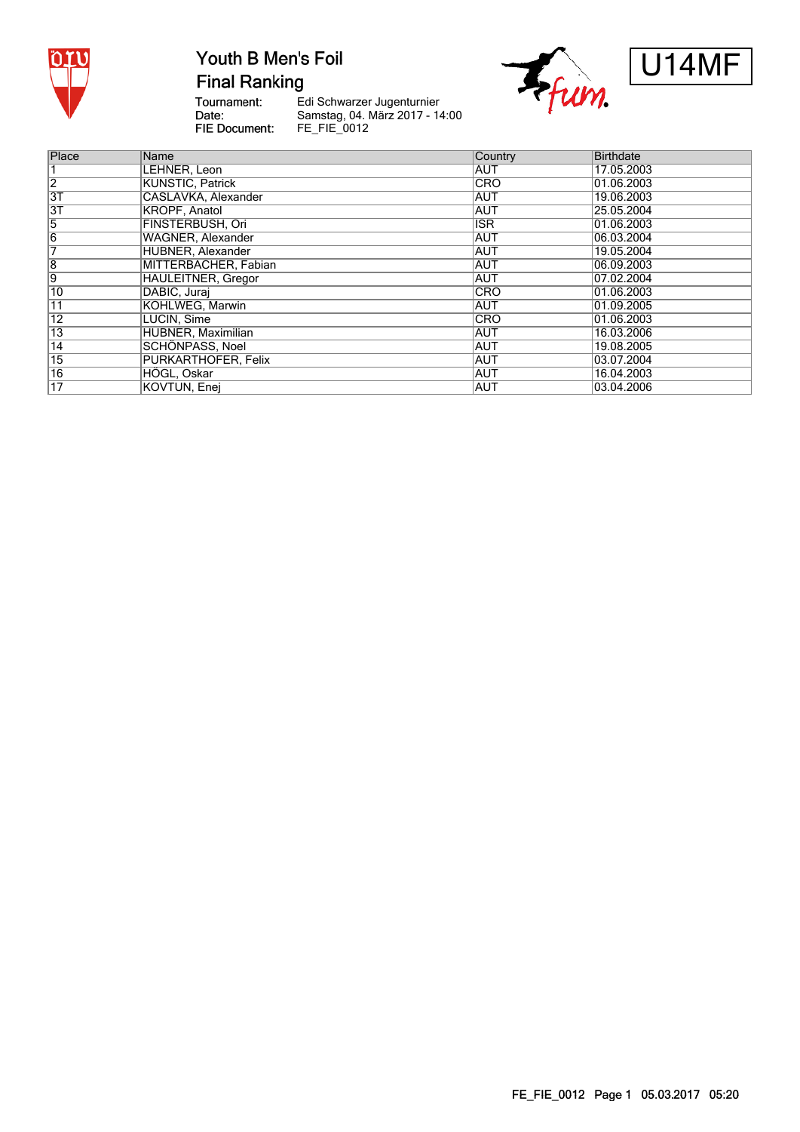

**Final Ranking** 

Tournament:<br>Date: FIE Document:

Edi Schwarzer Jugenturnier Samstag, 04. März 2017 - 14:00<br>FE\_FIE\_0012





| Place           | Name                      | Country    | <b>Birthdate</b><br>17.05.2003 |  |  |
|-----------------|---------------------------|------------|--------------------------------|--|--|
|                 | LEHNER, Leon              | <b>AUT</b> |                                |  |  |
| $\overline{2}$  | <b>KUNSTIC, Patrick</b>   | <b>CRO</b> | 01.06.2003                     |  |  |
| 3T              | CASLAVKA, Alexander       | <b>AUT</b> | 19.06.2003                     |  |  |
| 3T              | KROPF, Anatol             | <b>AUT</b> | 25.05.2004                     |  |  |
| 5               | <b>FINSTERBUSH, Ori</b>   | <b>ISR</b> | 01.06.2003                     |  |  |
| $\overline{6}$  | <b>WAGNER, Alexander</b>  | <b>AUT</b> | 06.03.2004                     |  |  |
| 7               | <b>HUBNER, Alexander</b>  | <b>AUT</b> | 19.05.2004                     |  |  |
| $\overline{8}$  | MITTERBACHER, Fabian      | <b>AUT</b> | 06.09.2003                     |  |  |
| $\overline{9}$  | <b>HAULEITNER, Gregor</b> | <b>AUT</b> | 07.02.2004                     |  |  |
| 10              | DABIC, Juraj              | <b>CRO</b> | 01.06.2003                     |  |  |
| $\overline{11}$ | KOHLWEG. Marwin           | <b>AUT</b> | 01.09.2005                     |  |  |
| $\overline{12}$ | LUCIN, Sime               | <b>CRO</b> | 101.06.2003                    |  |  |
| $\overline{13}$ | HUBNER, Maximilian        | <b>AUT</b> | 16.03.2006                     |  |  |
| $\overline{14}$ | SCHÖNPASS, Noel           | <b>AUT</b> | 19.08.2005                     |  |  |
| $\overline{15}$ | PURKARTHOFER, Felix       | AUT        | 03.07.2004                     |  |  |
| 16              | HÖGL, Oskar               | <b>AUT</b> | 16.04.2003                     |  |  |
| $\overline{17}$ | KOVTUN, Enej              | AUT        | 03.04.2006                     |  |  |